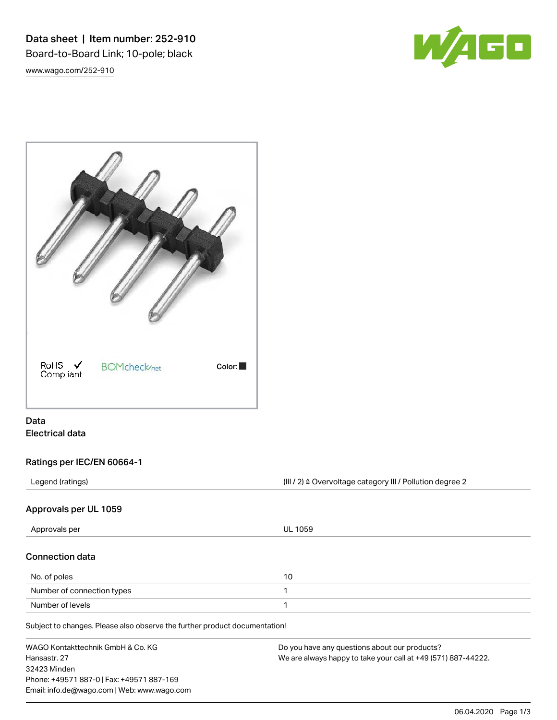Data sheet | Item number: 252-910 Board-to-Board Link; 10-pole; black [www.wago.com/252-910](http://www.wago.com/252-910)

W/4GD



# Data Electrical data

## Ratings per IEC/EN 60664-1

Legend (ratings) (III / 2) ≙ Overvoltage category III / Pollution degree 2

## Approvals per UL 1059

| Approvals per              | <b>UL 1059</b> |  |
|----------------------------|----------------|--|
| <b>Connection data</b>     |                |  |
| No. of poles               | 10             |  |
| Number of connection types |                |  |
| Number of levels           |                |  |
|                            |                |  |

Subject to changes. Please also observe the further product documentation!

| WAGO Kontakttechnik GmbH & Co. KG           | Do you have any questions about our products?                 |
|---------------------------------------------|---------------------------------------------------------------|
| Hansastr. 27                                | We are always happy to take your call at +49 (571) 887-44222. |
| 32423 Minden                                |                                                               |
| Phone: +49571 887-0   Fax: +49571 887-169   |                                                               |
| Email: info.de@wago.com   Web: www.wago.com |                                                               |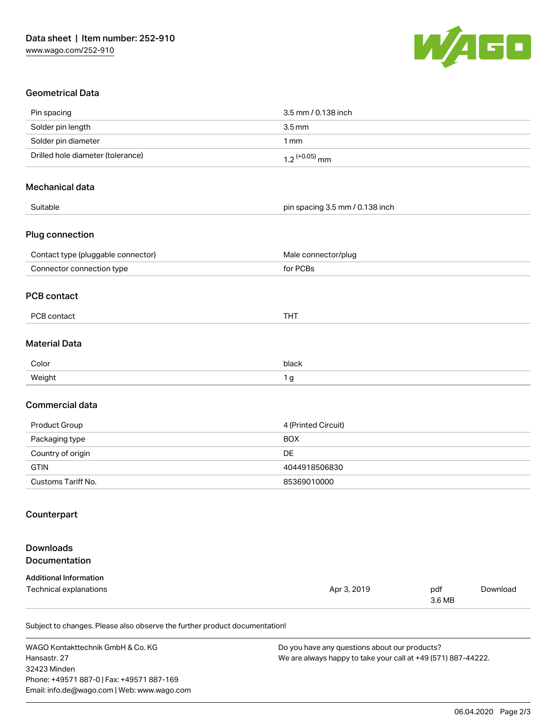

## Geometrical Data

| Pin spacing                        | 3.5 mm / 0.138 inch             |
|------------------------------------|---------------------------------|
| Solder pin length                  | 3.5 <sub>mm</sub>               |
| Solder pin diameter                | 1 <sub>mm</sub>                 |
| Drilled hole diameter (tolerance)  | $1.2$ (+0.05) mm                |
| Mechanical data                    |                                 |
| Suitable                           | pin spacing 3.5 mm / 0.138 inch |
| Plug connection                    |                                 |
| Contact type (pluggable connector) | Male connector/plug             |
| Connector connection type          | for PCBs                        |
| <b>PCB</b> contact                 |                                 |
| PCB contact                        | <b>THT</b>                      |
| <b>Material Data</b>               |                                 |
| Color                              | black                           |
| Weight                             | 1 <sub>g</sub>                  |
| <b>Commercial data</b>             |                                 |
| Product Group                      | 4 (Printed Circuit)             |
| Packaging type                     | <b>BOX</b>                      |
| Country of origin                  | DE                              |
| <b>GTIN</b>                        | 4044918506830                   |
| Customs Tariff No.                 | 85369010000                     |
| Counterpart                        |                                 |
| <b>Downloads</b><br>Documentation  |                                 |
|                                    |                                 |
| <b>Additional Information</b>      |                                 |

Subject to changes. Please also observe the further product documentation!

Technical explanations and policy and the control of the Apr 3, 2019 pdf pdf

WAGO Kontakttechnik GmbH & Co. KG Hansastr. 27 32423 Minden Phone: +49571 887-0 | Fax: +49571 887-169 Email: info.de@wago.com | Web: www.wago.com

Do you have any questions about our products? We are always happy to take your call at +49 (571) 887-44222.

3.6 MB

[Download](https://www.wago.com/de/d/1435602)